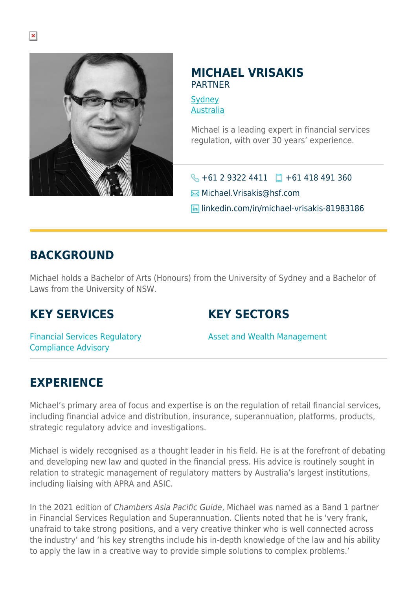

### **MICHAEL VRISAKIS** PARTNER

**[Sydney](https://www.herbertsmithfreehills.com/lang-ru/where-we-work/sydney)** [Australia](https://www.herbertsmithfreehills.com/lang-ru/where-we-work/australia)

Michael is a leading expert in financial services regulation, with over 30 years' experience.

 $\bigodot$  +61 2 9322 4411  $\Box$  +61 418 491 360

 $\boxtimes$  Michael. Vrisakis@hsf.com

**In linkedin.com/in/michael-vrisakis-81983186** 

### **BACKGROUND**

Michael holds a Bachelor of Arts (Honours) from the University of Sydney and a Bachelor of Laws from the University of NSW.

# **KEY SERVICES**

# **KEY SECTORS**

Financial Services Regulatory Compliance Advisory

Asset and Wealth Management

# **EXPERIENCE**

Michael's primary area of focus and expertise is on the regulation of retail financial services, including financial advice and distribution, insurance, superannuation, platforms, products, strategic regulatory advice and investigations.

Michael is widely recognised as a thought leader in his field. He is at the forefront of debating and developing new law and quoted in the financial press. His advice is routinely sought in relation to strategic management of regulatory matters by Australia's largest institutions, including liaising with APRA and ASIC.

In the 2021 edition of Chambers Asia Pacific Guide, Michael was named as a Band 1 partner in Financial Services Regulation and Superannuation. Clients noted that he is 'very frank, unafraid to take strong positions, and a very creative thinker who is well connected across the industry' and 'his key strengths include his in-depth knowledge of the law and his ability to apply the law in a creative way to provide simple solutions to complex problems.'